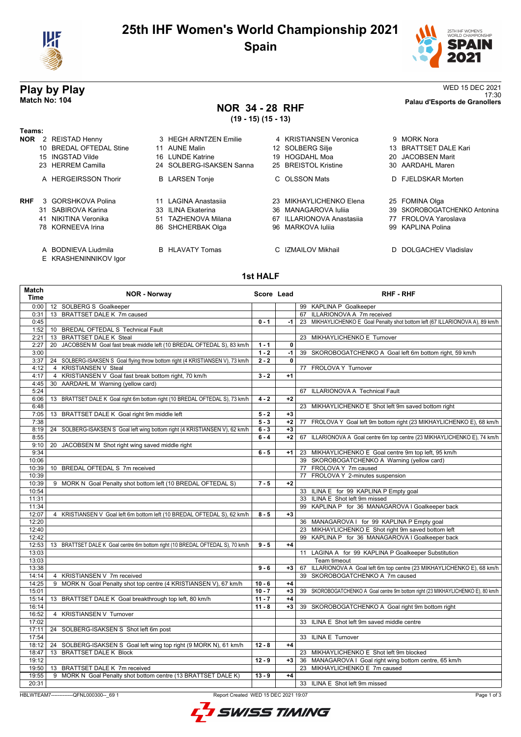

## **25th IHF Women's World Championship 2021 Spain**



### **NOR 34 - 28 RHF**

**(19 - 15) (15 - 13)**

| ۰.<br>×<br>۰.<br>w |  |
|--------------------|--|
|                    |  |

- **NOR** 2 REISTAD Henny 3 HEGH ARNTZEN Emilie 4 KRISTIANSEN Ver<br>10 BREDAL OFTEDAL Stine 1 AUNE Malin 12 SOLBERG Silie
	- 10 BREDAL OFTEDAL Stine
	- 15 INGSTAD Vilde 16 LUNDE Katrine 19 HOGDAHL Moa
	-
	- A HERGEIRSSON Thorir B LARSEN Tonje C OLSSON Mats
- - -
		- -
		- A BODNIEVA Liudmila B HLAVATY Tomas C IZMAILOV Mikhail D DOLGACHEV Vladislav
		- E KRASHENINNIKOV Igor
- 
- 
- -
- 23 HERREM Camilla 24 SOLBERG-ISAKSEN Sanna 25 BREISTOL Kristine **RHF** 3 GORSHKOVA Polina 11 LAGINA Anastasiia 23 MIKHAYLICHENKO 41 NIKITINA Veronika 67 S1 TAZHENOVA Milana 67 ILLARIONOVA Ana
	-
	-

### **Play by Play** WED 15 DEC 2021<br>Match No: 104 and the control of the control of the control of the control of the control of the control of the control of the control of the control of the control of the control of the cont 17:30 **Match No: 104 Palau d'Esports de Granollers**

| 2 REISTAD Henny         | 3 HEGH ARNTZEN Emilie    | 4 KRISTIANSEN Veronica    | 9 MORK Nora                  |
|-------------------------|--------------------------|---------------------------|------------------------------|
| 10 BREDAL OFTEDAL Stine | 11 AUNE Malin            | 12 SOLBERG Silje          | 13 BRATTSET DALE Kari        |
| 15 INGSTAD Vilde        | 16 LUNDE Katrine         | 19 HOGDAHL Moa            | 20 JACOBSEN Marit            |
| 23 HERREM Camilla       | 24 SOLBERG-ISAKSEN Sanna | 25 BREISTOL Kristine      | 30 AARDAHL Maren             |
| A HERGEIRSSON Thorir    | <b>B</b> LARSEN Tonje    | C OLSSON Mats             | D FJELDSKAR Morten           |
| 3 GORSHKOVA Polina      | 11 LAGINA Anastasija     | 23 MIKHAYLICHENKO Elena   | 25 FOMINA Olga               |
| 31 SABIROVA Karina      | 33 ILINA Ekaterina       | 36 MANAGAROVA Iulija      | 39 SKOROBOGATCHENKO Antonina |
| 41 NIKITINA Veronika    | 51 TAZHENOVA Milana      | 67 ILLARIONOVA Anastasija | 77 FROLOVA Yaroslava         |
| 78 KORNEEVA Irina       | 86 SHCHERBAK Olga        | 96 MARKOVA Iulija         | 99 KAPLINA Polina            |

### **1st HALF**

| Match<br><b>Time</b> | <b>NOR - Norway</b>                                                             | Score Lead |              | <b>RHF - RHF</b>                                                                 |  |  |
|----------------------|---------------------------------------------------------------------------------|------------|--------------|----------------------------------------------------------------------------------|--|--|
| 0:00                 | 12 SOLBERG S Goalkeeper                                                         |            |              | 99 KAPLINA P Goalkeeper                                                          |  |  |
| 0:31                 | 13 BRATTSET DALE K 7m caused                                                    |            |              | 67 ILLARIONOVA A 7m received                                                     |  |  |
| 0:45                 |                                                                                 | $0 - 1$    | $-1$         | 23 MIKHAYLICHENKO E Goal Penalty shot bottom left (67 ILLARIONOVA A), 89 km/h    |  |  |
| 1:52                 | 10 BREDAL OFTEDAL S Technical Fault                                             |            |              |                                                                                  |  |  |
| 2:21                 | 13 BRATTSET DALE K Steal                                                        |            |              | 23 MIKHAYLICHENKO E Turnover                                                     |  |  |
| 2:27                 | JACOBSEN M Goal fast break middle left (10 BREDAL OFTEDAL S), 83 km/h<br>20     | $1 - 1$    | $\mathbf{0}$ |                                                                                  |  |  |
| 3:00                 |                                                                                 | $1 - 2$    | $-1$         | 39 SKOROBOGATCHENKO A Goal left 6m bottom right, 59 km/h                         |  |  |
| 3:37                 | 24 SOLBERG-ISAKSEN S Goal flying throw bottom right (4 KRISTIANSEN V), 73 km/h  | $2 - 2$    | 0            |                                                                                  |  |  |
| 4:12                 | 4 KRISTIANSEN V Steal                                                           |            |              | 77 FROLOVA Y Turnover                                                            |  |  |
| 4:17                 | 4 KRISTIANSEN V Goal fast break bottom right, 70 km/h                           | $3 - 2$    | $+1$         |                                                                                  |  |  |
| 4:45                 | AARDAHL M Warning (yellow card)<br>30                                           |            |              |                                                                                  |  |  |
| 5:24                 |                                                                                 |            |              | 67 ILLARIONOVA A Technical Fault                                                 |  |  |
| 6:06                 | BRATTSET DALE K Goal right 6m bottom right (10 BREDAL OFTEDAL S), 73 km/h<br>13 | $4 - 2$    | $+2$         |                                                                                  |  |  |
| 6:48                 |                                                                                 |            |              | 23 MIKHAYLICHENKO E Shot left 9m saved bottom right                              |  |  |
| 7:05                 | 13 BRATTSET DALE K Goal right 9m middle left                                    | $5 - 2$    | $+3$         |                                                                                  |  |  |
| 7:38                 |                                                                                 | $5 - 3$    | $+2$         | 77 FROLOVA Y Goal left 9m bottom right (23 MIKHAYLICHENKO E), 68 km/h            |  |  |
| 8:19                 | 24 SOLBERG-ISAKSEN S Goal left wing bottom right (4 KRISTIANSEN V), 62 km/h     | $6 - 3$    | $+3$         |                                                                                  |  |  |
| 8:55                 |                                                                                 | $6 - 4$    | $+2$         | 67 ILLARIONOVA A Goal centre 6m top centre (23 MIKHAYLICHENKO E), 74 km/h        |  |  |
| 9:10                 | 20<br>JACOBSEN M Shot right wing saved middle right                             |            |              |                                                                                  |  |  |
| 9:34                 |                                                                                 | $6 - 5$    | $+1$         | 23 MIKHAYLICHENKO E Goal centre 9m top left, 95 km/h                             |  |  |
| 10:06                |                                                                                 |            |              | 39 SKOROBOGATCHENKO A Warning (yellow card)                                      |  |  |
| 10:39                | 10 BREDAL OFTEDAL S 7m received                                                 |            |              | 77 FROLOVA Y 7m caused                                                           |  |  |
| 10:39                |                                                                                 |            |              | 77 FROLOVA Y 2-minutes suspension                                                |  |  |
| 10:39                | 9 MORK N Goal Penalty shot bottom left (10 BREDAL OFTEDAL S)                    | $7 - 5$    | $+2$         |                                                                                  |  |  |
| 10:54                |                                                                                 |            |              | 33 ILINA E for 99 KAPLINA P Empty goal                                           |  |  |
| 11:31                |                                                                                 |            |              | 33 ILINA E Shot left 9m missed                                                   |  |  |
| 11:34                |                                                                                 |            |              | 99 KAPLINA P for 36 MANAGAROVA I Goalkeeper back                                 |  |  |
| 12:07                | 4 KRISTIANSEN V Goal left 6m bottom left (10 BREDAL OFTEDAL S), 62 km/h         | $8 - 5$    | $+3$         |                                                                                  |  |  |
| 12:20                |                                                                                 |            |              | 36 MANAGAROVA I for 99 KAPLINA P Empty goal                                      |  |  |
| 12:40                |                                                                                 |            |              | 23 MIKHAYLICHENKO E Shot right 9m saved bottom left                              |  |  |
| 12:42                |                                                                                 |            |              | 99 KAPLINA P for 36 MANAGAROVA I Goalkeeper back                                 |  |  |
| 12:53                | 13 BRATTSET DALE K Goal centre 6m bottom right (10 BREDAL OFTEDAL S), 70 km/h   | $9 - 5$    | $+4$         |                                                                                  |  |  |
| 13:03                |                                                                                 |            |              | 11 LAGINA A for 99 KAPLINA P Goalkeeper Substitution                             |  |  |
| 13:03                |                                                                                 |            |              | Team timeout                                                                     |  |  |
| 13:38                |                                                                                 | $9 - 6$    | $+3$         | 67 ILLARIONOVA A Goal left 6m top centre (23 MIKHAYLICHENKO E), 68 km/h          |  |  |
| 14:14                | 4 KRISTIANSEN V 7m received                                                     |            |              | 39 SKOROBOGATCHENKO A 7m caused                                                  |  |  |
| 14:25                | 9 MORK N Goal Penalty shot top centre (4 KRISTIANSEN V), 67 km/h                | $10 - 6$   | $+4$         |                                                                                  |  |  |
| 15:01                |                                                                                 | $10 - 7$   | $+3$         | 39 SKOROBOGATCHENKO A Goal centre 9m bottom right (23 MIKHAYLICHENKO E), 80 km/h |  |  |
| 15:14                | 13 BRATTSET DALE K Goal breakthrough top left, 80 km/h                          | $11 - 7$   | $+4$         |                                                                                  |  |  |
| 16:14                |                                                                                 | $11 - 8$   | $+3$         | 39 SKOROBOGATCHENKO A Goal right 9m bottom right                                 |  |  |
| 16:52                | 4 KRISTIANSEN V Turnover                                                        |            |              |                                                                                  |  |  |
| 17:02                |                                                                                 |            |              | 33 ILINA E Shot left 9m saved middle centre                                      |  |  |
| 17:11                | 24 SOLBERG-ISAKSEN S Shot left 6m post                                          |            |              |                                                                                  |  |  |
| 17:54                |                                                                                 |            |              | 33 ILINA E Turnover                                                              |  |  |
| 18:12                | SOLBERG-ISAKSEN S Goal left wing top right (9 MORK N), 61 km/h<br>24            | $12 - 8$   | $+4$         |                                                                                  |  |  |
| 18:47                | <b>BRATTSET DALE K Block</b><br>13                                              |            |              | 23 MIKHAYLICHENKO E Shot left 9m blocked                                         |  |  |
| 19:12                |                                                                                 | $12 - 9$   | $+3$         | 36 MANAGAROVA I Goal right wing bottom centre, 65 km/h                           |  |  |
| 19:50                | 13 BRATTSET DALE K 7m received                                                  |            |              | 23 MIKHAYLICHENKO E 7m caused                                                    |  |  |
| 19:55                | 9 MORK N Goal Penalty shot bottom centre (13 BRATTSET DALE K)                   | $13 - 9$   | $+4$         |                                                                                  |  |  |
| 20:31                |                                                                                 |            |              | 33 ILINA E Shot left 9m missed                                                   |  |  |
|                      | HBLWTEAM7--------------QFNL000300-- 69 1                                        |            |              | Page 1 of 3                                                                      |  |  |
|                      | Report Created WED 15 DEC 2021 19:07                                            |            |              |                                                                                  |  |  |

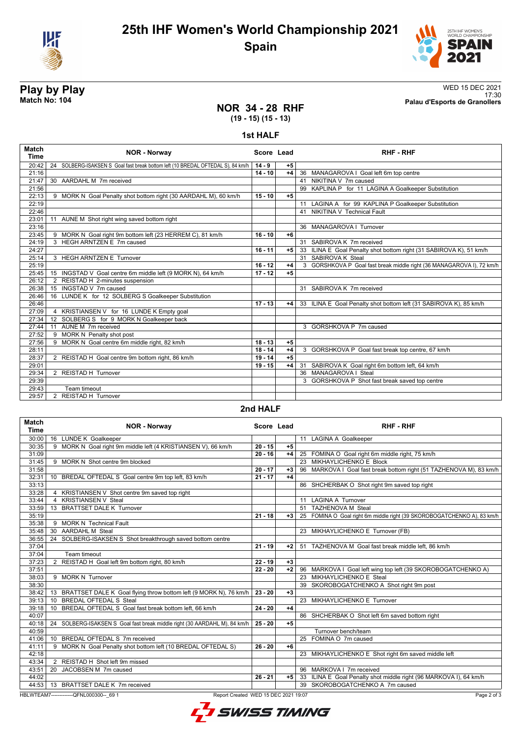



17:30 **Match No: 104 Palau d'Esports de Granollers**

# **Play by Play**<br>Match No: 104<br>Palau d'Esports de Granollers

### **NOR 34 - 28 RHF (19 - 15) (15 - 13)**

**1st HALF**

| <b>Match</b><br>Time | <b>NOR - Norway</b>                                                             | Score Lead |      | <b>RHF - RHF</b>                                                      |
|----------------------|---------------------------------------------------------------------------------|------------|------|-----------------------------------------------------------------------|
| 20:42                | 24 SOLBERG-ISAKSEN S Goal fast break bottom left (10 BREDAL OFTEDAL S), 84 km/h | $14 - 9$   | $+5$ |                                                                       |
| 21:16                |                                                                                 | $14 - 10$  | $+4$ | 36 MANAGAROVA I Goal left 6m top centre                               |
| 21:47                | 30 AARDAHL M 7m received                                                        |            |      | 41 NIKITINA V 7m caused                                               |
| 21:56                |                                                                                 |            |      | 99 KAPLINA P for 11 LAGINA A Goalkeeper Substitution                  |
| 22:13                | 9 MORK N Goal Penalty shot bottom right (30 AARDAHL M), 60 km/h                 | $15 - 10$  | $+5$ |                                                                       |
| 22:19                |                                                                                 |            |      | 11 LAGINA A for 99 KAPLINA P Goalkeeper Substitution                  |
| 22:46                |                                                                                 |            |      | 41 NIKITINA V Technical Fault                                         |
| 23:01                | AUNE M Shot right wing saved bottom right<br>11                                 |            |      |                                                                       |
| 23:16                |                                                                                 |            |      | 36 MANAGAROVA   Turnover                                              |
| 23:45                | 9 MORK N Goal right 9m bottom left (23 HERREM C), 81 km/h                       | $16 - 10$  | $+6$ |                                                                       |
| 24:19                | 3 HEGH ARNTZEN E 7m caused                                                      |            |      | 31 SABIROVA K 7m received                                             |
| 24:27                |                                                                                 | $16 - 11$  | $+5$ | 33 ILINA E Goal Penalty shot bottom right (31 SABIROVA K), 51 km/h    |
| 25:14                | 3 HEGH ARNTZEN E Turnover                                                       |            |      | 31 SABIROVA K Steal                                                   |
| 25:19                |                                                                                 | $16 - 12$  | $+4$ | 3 GORSHKOVA P Goal fast break middle right (36 MANAGAROVA I), 72 km/h |
| 25:45                | 15 INGSTAD V Goal centre 6m middle left (9 MORK N), 64 km/h                     | $17 - 12$  | $+5$ |                                                                       |
| 26:12                | 2 REISTAD H 2-minutes suspension                                                |            |      |                                                                       |
| 26:38                | INGSTAD V 7m caused<br>15                                                       |            |      | 31 SABIROVA K 7m received                                             |
| 26:46                | 16 LUNDE K for 12 SOLBERG S Goalkeeper Substitution                             |            |      |                                                                       |
| 26:46                |                                                                                 | $17 - 13$  | $+4$ | 33 ILINA E Goal Penalty shot bottom left (31 SABIROVA K), 85 km/h     |
| 27:09                | 4 KRISTIANSEN V for 16 LUNDE K Empty goal                                       |            |      |                                                                       |
| 27:34                | 12 SOLBERG S for 9 MORK N Goalkeeper back                                       |            |      |                                                                       |
| 27:44                | AUNE M 7m received<br>11                                                        |            |      | 3 GORSHKOVA P 7m caused                                               |
| 27:52                | 9 MORK N Penalty shot post                                                      |            |      |                                                                       |
| 27:56                | 9 MORK N Goal centre 6m middle right, 82 km/h                                   | $18 - 13$  | $+5$ |                                                                       |
| 28:11                |                                                                                 | $18 - 14$  | $+4$ | 3 GORSHKOVA P Goal fast break top centre, 67 km/h                     |
| 28:37                | 2 REISTAD H Goal centre 9m bottom right, 86 km/h                                | $19 - 14$  | $+5$ |                                                                       |
| 29:01                |                                                                                 | $19 - 15$  | $+4$ | 31 SABIROVA K Goal right 6m bottom left, 64 km/h                      |
| 29:34                | 2 REISTAD H Turnover                                                            |            |      | 36 MANAGAROVA I Steal                                                 |
| 29:39                |                                                                                 |            |      | 3 GORSHKOVA P Shot fast break saved top centre                        |
| 29:43                | Team timeout                                                                    |            |      |                                                                       |
| 29:57                | 2 REISTAD H Turnover                                                            |            |      |                                                                       |

#### **2nd HALF**

| <b>Match</b><br><b>Time</b> | <b>NOR - Norway</b>                                                                             | Score Lead |      | <b>RHF-RHF</b>                                                          |  |  |
|-----------------------------|-------------------------------------------------------------------------------------------------|------------|------|-------------------------------------------------------------------------|--|--|
| 30:00                       | 16 LUNDE K Goalkeeper                                                                           |            |      | 11 LAGINA A Goalkeeper                                                  |  |  |
| 30:35                       | 9 MORK N Goal right 9m middle left (4 KRISTIANSEN V), 66 km/h                                   | $20 - 15$  | $+5$ |                                                                         |  |  |
| 31:09                       |                                                                                                 | $20 - 16$  | $+4$ | 25 FOMINA O Goal right 6m middle right, 75 km/h                         |  |  |
| 31:45                       | 9 MORK N Shot centre 9m blocked                                                                 |            |      | 23 MIKHAYLICHENKO E Block                                               |  |  |
| 31:58                       |                                                                                                 | $20 - 17$  | $+3$ | 96 MARKOVA I Goal fast break bottom right (51 TAZHENOVA M), 83 km/h     |  |  |
| 32:31                       | BREDAL OFTEDAL S Goal centre 9m top left, 83 km/h<br>10 <sup>°</sup>                            | $21 - 17$  | $+4$ |                                                                         |  |  |
| 33:13                       |                                                                                                 |            |      | 86 SHCHERBAK O Shot right 9m saved top right                            |  |  |
| 33:28                       | 4 KRISTIANSEN V Shot centre 9m saved top right                                                  |            |      |                                                                         |  |  |
| 33:44                       | 4 KRISTIANSEN V Steal                                                                           |            |      | 11 LAGINA A Turnover                                                    |  |  |
| 33:59                       | 13 BRATTSET DALE K Turnover                                                                     |            |      | 51 TAZHENOVA M Steal                                                    |  |  |
| 35:19                       |                                                                                                 | $21 - 18$  | $+3$ | 25 FOMINA O Goal right 6m middle right (39 SKOROBOGATCHENKO A), 83 km/h |  |  |
| 35:38                       | 9 MORK N Technical Fault                                                                        |            |      |                                                                         |  |  |
| 35:48                       | 30 AARDAHL M Steal                                                                              |            |      | 23 MIKHAYLICHENKO E Turnover (FB)                                       |  |  |
| 36:55                       | 24 SOLBERG-ISAKSEN S Shot breakthrough saved bottom centre                                      |            |      |                                                                         |  |  |
| 37:04                       |                                                                                                 | $21 - 19$  | $+2$ | 51 TAZHENOVA M Goal fast break middle left, 86 km/h                     |  |  |
| 37:04                       | Team timeout                                                                                    |            |      |                                                                         |  |  |
| 37:23                       | 2 REISTAD H Goal left 9m bottom right, 80 km/h                                                  | $22 - 19$  | $+3$ |                                                                         |  |  |
| 37:51                       |                                                                                                 | $22 - 20$  | $+2$ | 96 MARKOVA I Goal left wing top left (39 SKOROBOGATCHENKO A)            |  |  |
| 38:03                       | 9 MORK N Turnover                                                                               |            |      | 23 MIKHAYLICHENKO E Steal                                               |  |  |
| 38:30                       |                                                                                                 |            |      | 39 SKOROBOGATCHENKO A Shot right 9m post                                |  |  |
| 38:42                       | 13 BRATTSET DALE K Goal flying throw bottom left (9 MORK N), 76 km/h                            | $23 - 20$  | $+3$ |                                                                         |  |  |
| 39:13                       | <b>BREDAL OFTEDAL S Steal</b><br>10                                                             |            |      | 23 MIKHAYLICHENKO E Turnover                                            |  |  |
| 39:18                       | 10 BREDAL OFTEDAL S Goal fast break bottom left, 66 km/h                                        | $24 - 20$  | $+4$ |                                                                         |  |  |
| 40:07                       |                                                                                                 |            |      | 86 SHCHERBAK O Shot left 6m saved bottom right                          |  |  |
| 40:18                       | 24 SOLBERG-ISAKSEN S Goal fast break middle right (30 AARDAHL M), 84 km/h                       | $25 - 20$  | $+5$ |                                                                         |  |  |
| 40:59                       |                                                                                                 |            |      | Turnover bench/team                                                     |  |  |
| 41:06                       | 10 BREDAL OFTEDAL S 7m received                                                                 |            |      | 25 FOMINA O 7m caused                                                   |  |  |
| 41:11                       | 9 MORK N Goal Penalty shot bottom left (10 BREDAL OFTEDAL S)                                    | $26 - 20$  | $+6$ |                                                                         |  |  |
| 42:18                       |                                                                                                 |            |      | 23 MIKHAYLICHENKO E Shot right 6m saved middle left                     |  |  |
| 43:34                       | 2 REISTAD H Shot left 9m missed                                                                 |            |      |                                                                         |  |  |
| 43:51                       | 20 JACOBSEN M 7m caused                                                                         |            |      | 96 MARKOVA I 7m received                                                |  |  |
| 44:02                       |                                                                                                 | $26 - 21$  | +5   | 33 ILINA E Goal Penalty shot middle right (96 MARKOVA I), 64 km/h       |  |  |
|                             | 44:53   13 BRATTSET DALE K 7m received                                                          |            |      | 39 SKOROBOGATCHENKO A 7m caused                                         |  |  |
|                             | HBLWTEAM7--------------QFNL000300-- 69 1<br>Page 2 of 3<br>Report Created WED 15 DEC 2021 19:07 |            |      |                                                                         |  |  |



Page 2 of 3